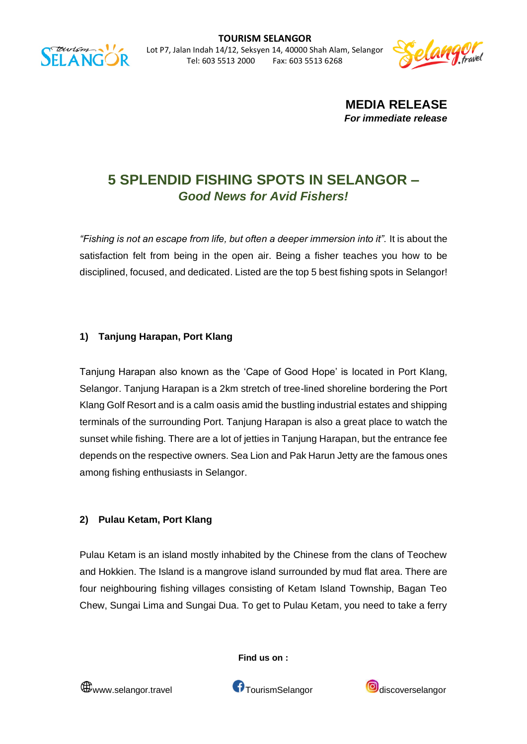



**MEDIA RELEASE** *For immediate release*

# **5 SPLENDID FISHING SPOTS IN SELANGOR –** *Good News for Avid Fishers!*

"Fishing is not an escape from life, but often a deeper immersion into it". It is about the satisfaction felt from being in the open air. Being a fisher teaches you how to be disciplined, focused, and dedicated. Listed are the top 5 best fishing spots in Selangor!

# **1) Tanjung Harapan, Port Klang**

Tanjung Harapan also known as the 'Cape of Good Hope' is located in Port Klang, Selangor. Tanjung Harapan is a 2km stretch of tree-lined shoreline bordering the Port Klang Golf Resort and is a calm oasis amid the bustling industrial estates and shipping terminals of the surrounding Port. Tanjung Harapan is also a great place to watch the sunset while fishing. There are a lot of jetties in Tanjung Harapan, but the entrance fee depends on the respective owners. Sea Lion and Pak Harun Jetty are the famous ones among fishing enthusiasts in Selangor.

### **2) Pulau Ketam, Port Klang**

Pulau Ketam is an island mostly inhabited by the Chinese from the clans of Teochew and Hokkien. The Island is a mangrove island surrounded by mud flat area. There are four neighbouring fishing villages consisting of Ketam Island Township, Bagan Teo Chew, Sungai Lima and Sungai Dua. To get to Pulau Ketam, you need to take a ferry



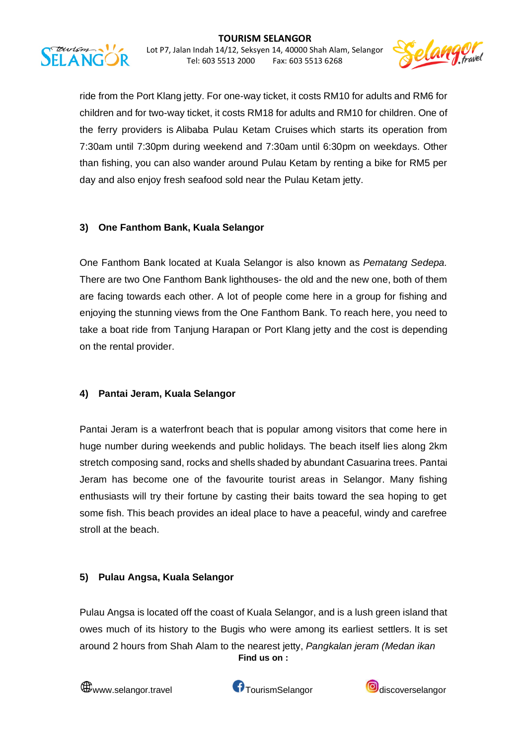

ride from the Port Klang jetty. For one-way ticket, it costs RM10 for adults and RM6 for children and for two-way ticket, it costs RM18 for adults and RM10 for children. One of the ferry providers is Alibaba Pulau Ketam Cruises which starts its operation from 7:30am until 7:30pm during weekend and 7:30am until 6:30pm on weekdays. Other than fishing, you can also wander around Pulau Ketam by renting a bike for RM5 per day and also enjoy fresh seafood sold near the Pulau Ketam jetty.

# **3) One Fanthom Bank, Kuala Selangor**

tourism **ELANG** 

> One Fanthom Bank located at Kuala Selangor is also known as *Pematang Sedepa.*  There are two One Fanthom Bank lighthouses- the old and the new one, both of them are facing towards each other. A lot of people come here in a group for fishing and enjoying the stunning views from the One Fanthom Bank. To reach here, you need to take a boat ride from Tanjung Harapan or Port Klang jetty and the cost is depending on the rental provider.

### **4) Pantai Jeram, Kuala Selangor**

Pantai Jeram is a waterfront beach that is popular among visitors that come here in huge number during weekends and public holidays. The beach itself lies along 2km stretch composing sand, rocks and shells shaded by abundant Casuarina trees. Pantai Jeram has become one of the favourite tourist areas in Selangor. Many fishing enthusiasts will try their fortune by casting their baits toward the sea hoping to get some fish. This beach provides an ideal place to have a peaceful, windy and carefree stroll at the beach.

### **5) Pulau Angsa, Kuala Selangor**

**Find us on :** Pulau Angsa is located off the coast of Kuala Selangor, and is a lush green island that owes much of its history to the Bugis who were among its earliest settlers. It is set around 2 hours from Shah Alam to the nearest jetty, *Pangkalan jeram (Medan ikan* 





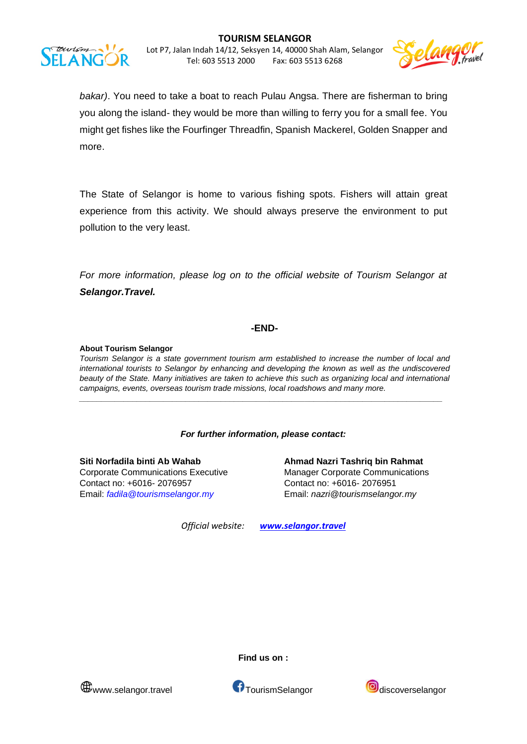



*bakar)*. You need to take a boat to reach Pulau Angsa. There are fisherman to bring you along the island- they would be more than willing to ferry you for a small fee. You might get fishes like the Fourfinger Threadfin, Spanish Mackerel, Golden Snapper and more.

The State of Selangor is home to various fishing spots. Fishers will attain great experience from this activity. We should always preserve the environment to put pollution to the very least.

*For more information, please log on to the official website of Tourism Selangor at Selangor.Travel.*

#### **-END-**

#### **About Tourism Selangor**

*Tourism Selangor is a state government tourism arm established to increase the number of local and international tourists to Selangor by enhancing and developing the known as well as the undiscovered beauty of the State. Many initiatives are taken to achieve this such as organizing local and international campaigns, events, overseas tourism trade missions, local roadshows and many more.*

*\_\_\_\_\_\_\_\_\_\_\_\_\_\_\_\_\_\_\_\_\_\_\_\_\_\_\_\_\_\_\_\_\_\_\_\_\_\_\_\_\_\_\_\_\_\_\_\_\_\_\_\_\_\_\_\_\_\_\_\_\_\_\_\_\_\_\_\_\_\_\_\_\_\_\_\_\_\_\_\_\_\_*

#### *For further information, please contact:*

Contact no: +6016- 2076957 Contact no: +6016- 2076951

**Siti Norfadila binti Ab Wahab Ahmad Nazri Tashriq bin Rahmat** Corporate Communications Executive Manager Corporate Communications Email: *[fadila@tourismselangor.my](mailto:fadila@tourismselangor.my)* Email: *nazri@tourismselangor.my*

*Official website: www.selangor.travel*





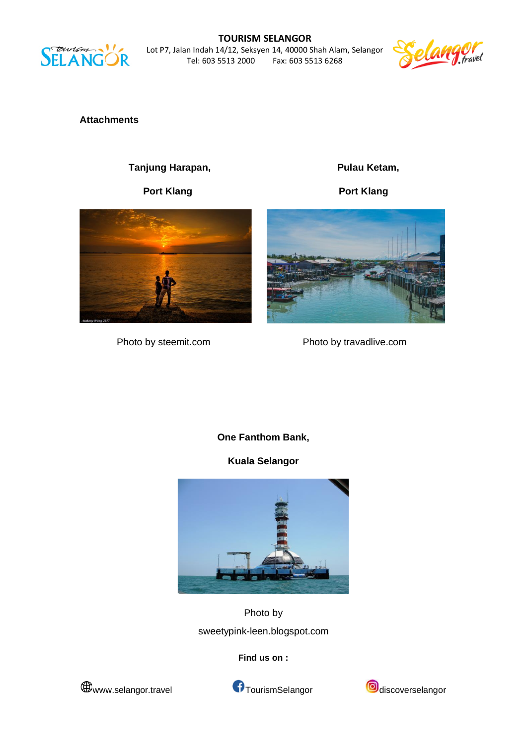

**TOURISM SELANGOR** Lot P7, Jalan Indah 14/12, Seksyen 14, 40000 Shah Alam, Selangor Fax: 603 5513 6268



**Attachments**

Tanjung Harapan, **Pulau Ketam,** 



Port Klang **Port Klang** 



Photo by steemit.com Photo by travadlive.com

**One Fanthom Bank,**

**Kuala Selangor**



Photo by sweetypink-leen.blogspot.com